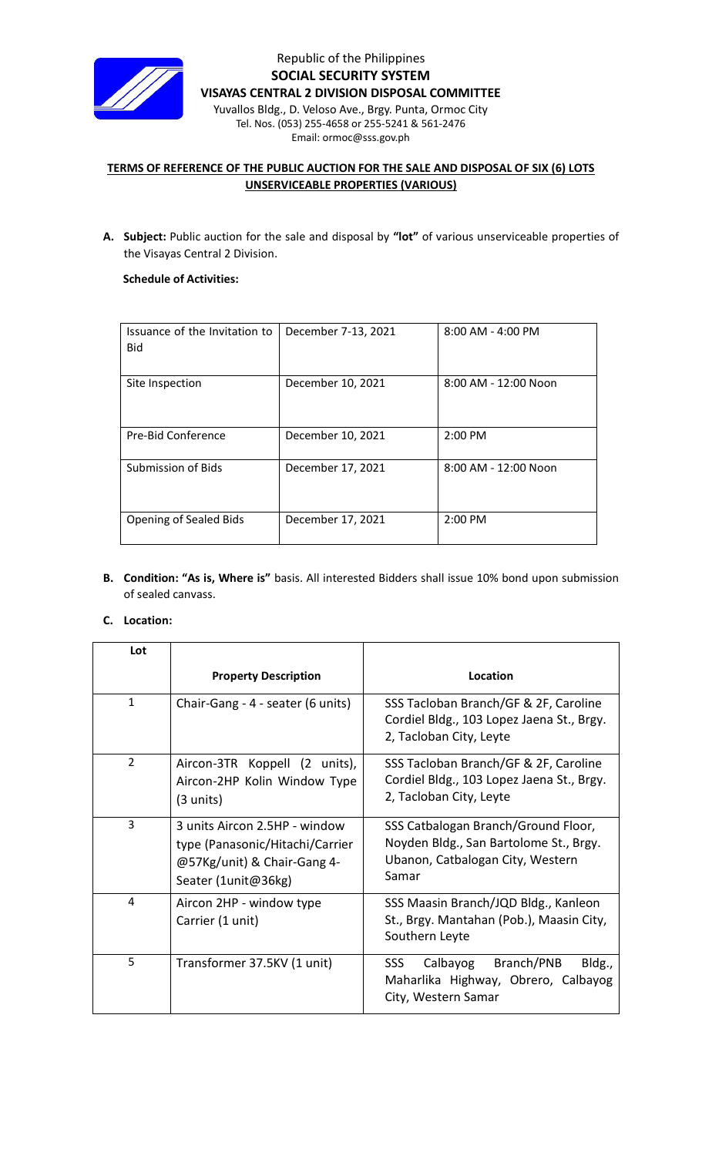

# **TERMS OF REFERENCE OF THE PUBLIC AUCTION FOR THE SALE AND DISPOSAL OF SIX (6) LOTS UNSERVICEABLE PROPERTIES (VARIOUS)**

**A. Subject:** Public auction for the sale and disposal by **"lot"** of various unserviceable properties of the Visayas Central 2 Division.

## **Schedule of Activities:**

| Issuance of the Invitation to<br><b>Bid</b> | December 7-13, 2021 | 8:00 AM - 4:00 PM    |
|---------------------------------------------|---------------------|----------------------|
| Site Inspection                             | December 10, 2021   | 8:00 AM - 12:00 Noon |
| Pre-Bid Conference                          | December 10, 2021   | $2:00$ PM            |
| Submission of Bids                          | December 17, 2021   | 8:00 AM - 12:00 Noon |
| <b>Opening of Sealed Bids</b>               | December 17, 2021   | $2:00$ PM            |

**B. Condition: "As is, Where is"** basis. All interested Bidders shall issue 10% bond upon submission of sealed canvass.

#### **C. Location:**

| Lot            |                                                                                                                        |                                                                                                                            |
|----------------|------------------------------------------------------------------------------------------------------------------------|----------------------------------------------------------------------------------------------------------------------------|
|                | <b>Property Description</b>                                                                                            | Location                                                                                                                   |
| $\mathbf{1}$   | Chair-Gang - 4 - seater (6 units)                                                                                      | SSS Tacloban Branch/GF & 2F, Caroline<br>Cordiel Bldg., 103 Lopez Jaena St., Brgy.<br>2, Tacloban City, Leyte              |
| $\overline{2}$ | Aircon-3TR Koppell (2 units),<br>Aircon-2HP Kolin Window Type<br>$(3 \text{ units})$                                   | SSS Tacloban Branch/GF & 2F, Caroline<br>Cordiel Bldg., 103 Lopez Jaena St., Brgy.<br>2, Tacloban City, Leyte              |
| 3              | 3 units Aircon 2.5HP - window<br>type (Panasonic/Hitachi/Carrier<br>@57Kg/unit) & Chair-Gang 4-<br>Seater (1unit@36kg) | SSS Catbalogan Branch/Ground Floor,<br>Noyden Bldg., San Bartolome St., Brgy.<br>Ubanon, Catbalogan City, Western<br>Samar |
| 4              | Aircon 2HP - window type<br>Carrier (1 unit)                                                                           | SSS Maasin Branch/JQD Bldg., Kanleon<br>St., Brgy. Mantahan (Pob.), Maasin City,<br>Southern Leyte                         |
| 5              | Transformer 37.5KV (1 unit)                                                                                            | Branch/PNB<br>Bldg.,<br>SSS.<br>Calbayog<br>Maharlika Highway, Obrero, Calbayog<br>City, Western Samar                     |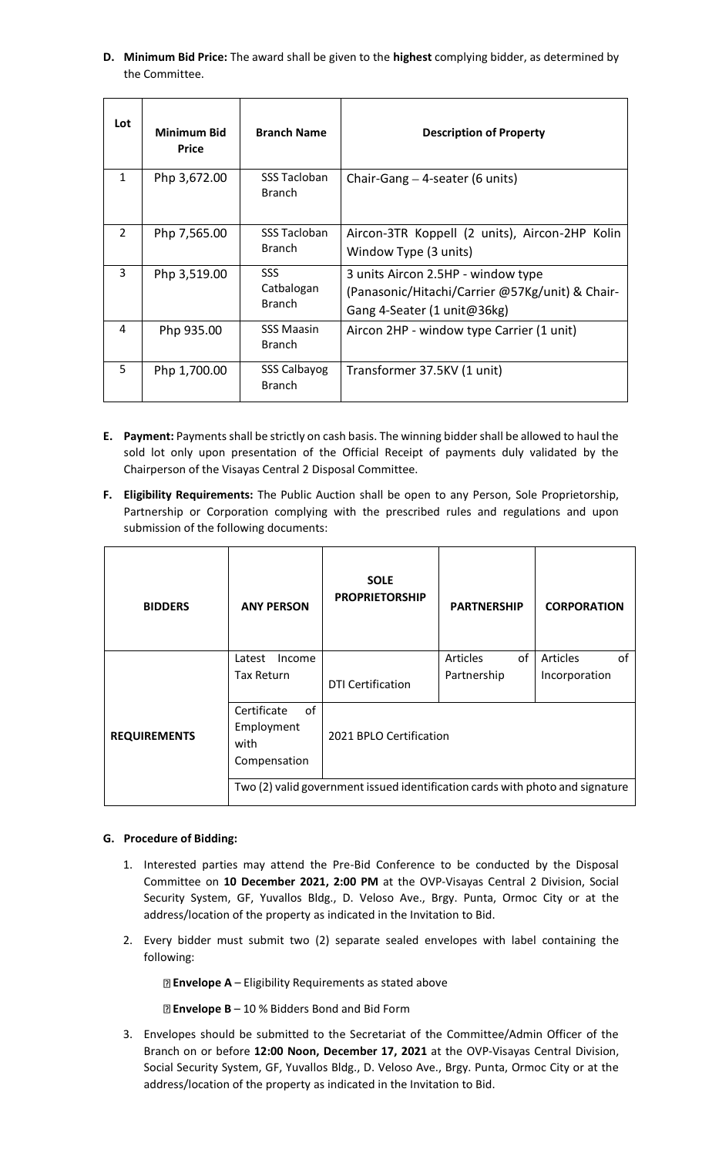**D. Minimum Bid Price:** The award shall be given to the **highest** complying bidder, as determined by the Committee.

| Lot                      | <b>Minimum Bid</b><br><b>Price</b> | <b>Branch Name</b>                        | <b>Description of Property</b>                                                                                       |
|--------------------------|------------------------------------|-------------------------------------------|----------------------------------------------------------------------------------------------------------------------|
| $\mathbf{1}$             | Php 3,672.00                       | <b>SSS Tacloban</b><br><b>Branch</b>      | Chair-Gang $-$ 4-seater (6 units)                                                                                    |
| $\overline{\phantom{a}}$ | Php 7,565.00                       | SSS Tacloban<br><b>Branch</b>             | Aircon-3TR Koppell (2 units), Aircon-2HP Kolin<br>Window Type (3 units)                                              |
| 3                        | Php 3,519.00                       | <b>SSS</b><br>Catbalogan<br><b>Branch</b> | 3 units Aircon 2.5HP - window type<br>(Panasonic/Hitachi/Carrier @57Kg/unit) & Chair-<br>Gang 4-Seater (1 unit@36kg) |
| 4                        | Php 935.00                         | <b>SSS Maasin</b><br><b>Branch</b>        | Aircon 2HP - window type Carrier (1 unit)                                                                            |
| 5                        | Php 1,700.00                       | SSS Calbayog<br><b>Branch</b>             | Transformer 37.5KV (1 unit)                                                                                          |

- **E. Payment:** Payments shall be strictly on cash basis. The winning bidder shall be allowed to haul the sold lot only upon presentation of the Official Receipt of payments duly validated by the Chairperson of the Visayas Central 2 Disposal Committee.
- **F. Eligibility Requirements:** The Public Auction shall be open to any Person, Sole Proprietorship, Partnership or Corporation complying with the prescribed rules and regulations and upon submission of the following documents:

| <b>BIDDERS</b>      | <b>ANY PERSON</b>                                                             | <b>SOLE</b><br><b>PROPRIETORSHIP</b> | <b>PARTNERSHIP</b>            | <b>CORPORATION</b>              |  |
|---------------------|-------------------------------------------------------------------------------|--------------------------------------|-------------------------------|---------------------------------|--|
|                     | Latest<br>Income<br>Tax Return                                                | <b>DTI Certification</b>             | of<br>Articles<br>Partnership | Articles<br>of<br>Incorporation |  |
| <b>REQUIREMENTS</b> | of<br>Certificate<br>Employment<br>with<br>Compensation                       | 2021 BPLO Certification              |                               |                                 |  |
|                     | Two (2) valid government issued identification cards with photo and signature |                                      |                               |                                 |  |

### **G. Procedure of Bidding:**

- 1. Interested parties may attend the Pre-Bid Conference to be conducted by the Disposal Committee on **10 December 2021, 2:00 PM** at the OVP-Visayas Central 2 Division, Social Security System, GF, Yuvallos Bldg., D. Veloso Ave., Brgy. Punta, Ormoc City or at the address/location of the property as indicated in the Invitation to Bid.
- 2. Every bidder must submit two (2) separate sealed envelopes with label containing the following:

**Envelope A** – Eligibility Requirements as stated above

**Envelope B** – 10 % Bidders Bond and Bid Form

3. Envelopes should be submitted to the Secretariat of the Committee/Admin Officer of the Branch on or before **12:00 Noon, December 17, 2021** at the OVP-Visayas Central Division, Social Security System, GF, Yuvallos Bldg., D. Veloso Ave., Brgy. Punta, Ormoc City or at the address/location of the property as indicated in the Invitation to Bid.